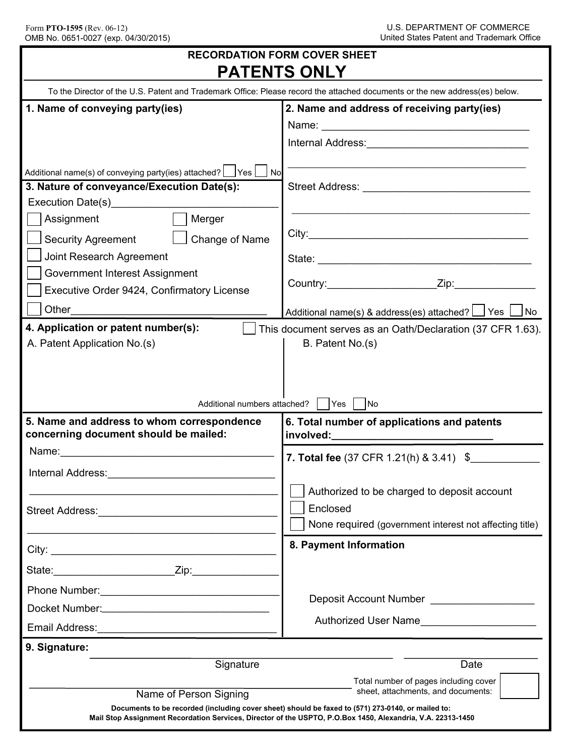| <b>RECORDATION FORM COVER SHEET</b><br><b>PATENTS ONLY</b>                                                                                                                                                                                                                                                                                                                                                                                  |                                                                                                                                                                   |
|---------------------------------------------------------------------------------------------------------------------------------------------------------------------------------------------------------------------------------------------------------------------------------------------------------------------------------------------------------------------------------------------------------------------------------------------|-------------------------------------------------------------------------------------------------------------------------------------------------------------------|
| To the Director of the U.S. Patent and Trademark Office: Please record the attached documents or the new address(es) below.                                                                                                                                                                                                                                                                                                                 |                                                                                                                                                                   |
| 1. Name of conveying party(ies)                                                                                                                                                                                                                                                                                                                                                                                                             | 2. Name and address of receiving party(ies)                                                                                                                       |
|                                                                                                                                                                                                                                                                                                                                                                                                                                             |                                                                                                                                                                   |
|                                                                                                                                                                                                                                                                                                                                                                                                                                             |                                                                                                                                                                   |
| Additional name(s) of conveying party(ies) attached?   Yes   No<br>3. Nature of conveyance/Execution Date(s):<br>Execution Date(s) Execution Date(s)<br>Assignment<br>Merger<br>Change of Name<br><b>Security Agreement</b><br>Joint Research Agreement<br>Government Interest Assignment<br>Executive Order 9424, Confirmatory License<br>Other <u>____________</u><br>4. Application or patent number(s):<br>A. Patent Application No.(s) | Country: Zip: Zip:<br>Additional name(s) & address(es) attached? [J] Yes [J] No<br>This document serves as an Oath/Declaration (37 CFR 1.63).<br>B. Patent No.(s) |
|                                                                                                                                                                                                                                                                                                                                                                                                                                             | Additional numbers attached?     Yes     No                                                                                                                       |
| 5. Name and address to whom correspondence<br>concerning document should be mailed:                                                                                                                                                                                                                                                                                                                                                         | 6. Total number of applications and patents                                                                                                                       |
|                                                                                                                                                                                                                                                                                                                                                                                                                                             | <b>7. Total fee</b> (37 CFR 1.21(h) & 3.41) \$                                                                                                                    |
|                                                                                                                                                                                                                                                                                                                                                                                                                                             |                                                                                                                                                                   |
|                                                                                                                                                                                                                                                                                                                                                                                                                                             | Authorized to be charged to deposit account                                                                                                                       |
| Street Address: The Contract of the Contract of the Contract of the Contract of the Contract of the Contract of the Contract of the Contract of the Contract of the Contract of the Contract of the Contract of the Contract o                                                                                                                                                                                                              | Enclosed                                                                                                                                                          |
|                                                                                                                                                                                                                                                                                                                                                                                                                                             | None required (government interest not affecting title)                                                                                                           |
| City:                                                                                                                                                                                                                                                                                                                                                                                                                                       | 8. Payment Information                                                                                                                                            |
| State: Zip: Zip:                                                                                                                                                                                                                                                                                                                                                                                                                            |                                                                                                                                                                   |
|                                                                                                                                                                                                                                                                                                                                                                                                                                             |                                                                                                                                                                   |
|                                                                                                                                                                                                                                                                                                                                                                                                                                             | Deposit Account Number <b>Example 20</b>                                                                                                                          |
|                                                                                                                                                                                                                                                                                                                                                                                                                                             | Authorized User Name <b>Example 20</b>                                                                                                                            |
| 9. Signature:                                                                                                                                                                                                                                                                                                                                                                                                                               |                                                                                                                                                                   |
| Signature<br>Name of Person Signing<br>Documents to be recorded (including cover sheet) should be faxed to (571) 273-0140, or mailed to:<br>Mail Stop Assignment Recordation Services, Director of the USPTO, P.O.Box 1450, Alexandria, V.A. 22313-1450                                                                                                                                                                                     | Date<br>Total number of pages including cover<br>sheet, attachments, and documents:                                                                               |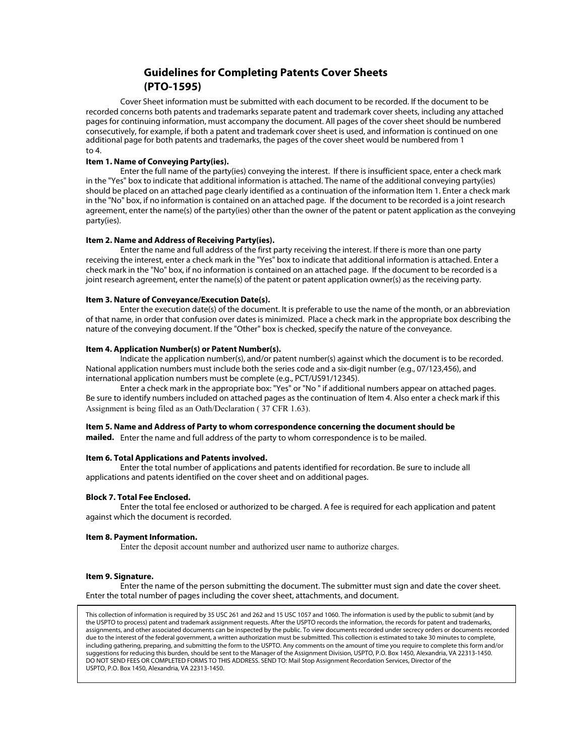# **Guidelines for Completing Patents Cover Sheets (PTO-1595)**

Cover Sheet information must be submitted with each document to be recorded. If the document to be recorded concerns both patents and trademarks separate patent and trademark cover sheets, including any attached pages for continuing information, must accompany the document. All pages of the cover sheet should be numbered consecutively, for example, if both a patent and trademark cover sheet is used, and information is continued on one additional page for both patents and trademarks, the pages of the cover sheet would be numbered from 1 to 4.

### **Item 1. Name of Conveying Party(ies).**

Enter the full name of the party(ies) conveying the interest. If there is insufficient space, enter a check mark in the "Yes" box to indicate that additional information is attached. The name of the additional conveying party(ies) should be placed on an attached page clearly identified as a continuation of the information Item 1. Enter a check mark in the "No" box, if no information is contained on an attached page. If the document to be recorded is a joint research agreement, enter the name(s) of the party(ies) other than the owner of the patent or patent application as the conveying party(ies).

#### **Item 2. Name and Address of Receiving Party(ies).**

Enter the name and full address of the first party receiving the interest. If there is more than one party receiving the interest, enter a check mark in the "Yes" box to indicate that additional information is attached. Enter a check mark in the "No" box, if no information is contained on an attached page. If the document to be recorded is a joint research agreement, enter the name(s) of the patent or patent application owner(s) as the receiving party.

#### **Item 3. Nature of Conveyance/Execution Date(s).**

Enter the execution date(s) of the document. It is preferable to use the name of the month, or an abbreviation of that name, in order that confusion over dates is minimized. Place a check mark in the appropriate box describing the nature of the conveying document. If the "Other" box is checked, specify the nature of the conveyance.

### **Item 4. Application Number(s) or Patent Number(s).**

Indicate the application number(s), and/or patent number(s) against which the document is to be recorded. National application numbers must include both the series code and a six-digit number (e.g., 07/123,456), and international application numbers must be complete (e.g., PCT/US91/12345).

Enter a check mark in the appropriate box: "Yes" or "No " if additional numbers appear on attached pages. Be sure to identify numbers included on attached pages as the continuation of Item 4. Also enter a check mark if this Assignment is being filed as an Oath/Declaration ( 37 CFR 1.63).

## **Item 5. Name and Address of Party to whom correspondence concerning the document should be**

**mailed.** Enter the name and full address of the party to whom correspondence is to be mailed.

#### **Item 6. Total Applications and Patents involved.**

Enter the total number of applications and patents identified for recordation. Be sure to include all applications and patents identified on the cover sheet and on additional pages.

#### **Block 7. Total Fee Enclosed.**

Enter the total fee enclosed or authorized to be charged. A fee is required for each application and patent against which the document is recorded.

#### **Item 8. Payment Information.**

Enter the deposit account number and authorized user name to authorize charges.

#### **Item 9. Signature.**

Enter the name of the person submitting the document. The submitter must sign and date the cover sheet. Enter the total number of pages including the cover sheet, attachments, and document.

This collection of information is required by 35 USC 261 and 262 and 15 USC 1057 and 1060. The information is used by the public to submit (and by the USPTO to process) patent and trademark assignment requests. After the USPTO records the information, the records for patent and trademarks, assignments, and other associated documents can be inspected by the public. To view documents recorded under secrecy orders or documents recorded due to the interest of the federal government, a written authorization must be submitted. This collection is estimated to take 30 minutes to complete, including gathering, preparing, and submitting the form to the USPTO. Any comments on the amount of time you require to complete this form and/or suggestions for reducing this burden, should be sent to the Manager of the Assignment Division, USPTO, P.O. Box 1450, Alexandria, VA 22313-1450. DO NOT SEND FEES OR COMPLETED FORMS TO THIS ADDRESS. SEND TO: Mail Stop Assignment Recordation Services, Director of the USPTO, P.O. Box 1450, Alexandria, VA 22313-1450.